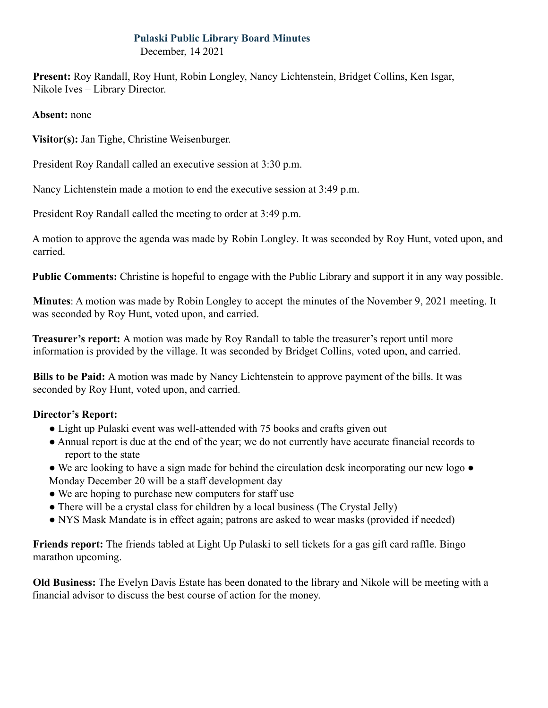## **Pulaski Public Library Board Minutes**

December, 14 2021

**Present:** Roy Randall, Roy Hunt, Robin Longley, Nancy Lichtenstein, Bridget Collins, Ken Isgar, Nikole Ives – Library Director.

**Absent:** none

**Visitor(s):** Jan Tighe, Christine Weisenburger.

President Roy Randall called an executive session at 3:30 p.m.

Nancy Lichtenstein made a motion to end the executive session at 3:49 p.m.

President Roy Randall called the meeting to order at 3:49 p.m.

A motion to approve the agenda was made by Robin Longley. It was seconded by Roy Hunt, voted upon, and carried.

**Public Comments:** Christine is hopeful to engage with the Public Library and support it in any way possible.

**Minutes**: A motion was made by Robin Longley to accept the minutes of the November 9, 2021 meeting. It was seconded by Roy Hunt, voted upon, and carried.

**Treasurer's report:** A motion was made by Roy Randall to table the treasurer's report until more information is provided by the village. It was seconded by Bridget Collins, voted upon, and carried.

**Bills to be Paid:** A motion was made by Nancy Lichtenstein to approve payment of the bills. It was seconded by Roy Hunt, voted upon, and carried.

## **Director's Report:**

- Light up Pulaski event was well-attended with 75 books and crafts given out
- Annual report is due at the end of the year; we do not currently have accurate financial records to report to the state
- We are looking to have a sign made for behind the circulation desk incorporating our new logo Monday December 20 will be a staff development day
- We are hoping to purchase new computers for staff use
- There will be a crystal class for children by a local business (The Crystal Jelly)
- NYS Mask Mandate is in effect again; patrons are asked to wear masks (provided if needed)

**Friends report:** The friends tabled at Light Up Pulaski to sell tickets for a gas gift card raffle. Bingo marathon upcoming.

**Old Business:** The Evelyn Davis Estate has been donated to the library and Nikole will be meeting with a financial advisor to discuss the best course of action for the money.